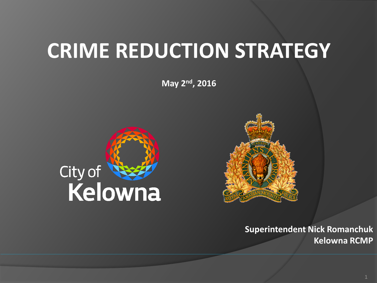# **CRIME REDUCTION STRATEGY**

**May 2nd, 2016**





**Superintendent Nick Romanchuk Kelowna RCMP**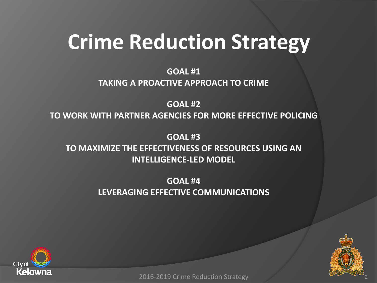**GOAL #1 TAKING A PROACTIVE APPROACH TO CRIME**

**GOAL #2 TO WORK WITH PARTNER AGENCIES FOR MORE EFFECTIVE POLICING**

**GOAL #3 TO MAXIMIZE THE EFFECTIVENESS OF RESOURCES USING AN INTELLIGENCE-LED MODEL**

> **GOAL #4 LEVERAGING EFFECTIVE COMMUNICATIONS**





2016-2019 Crime Reduction Strategy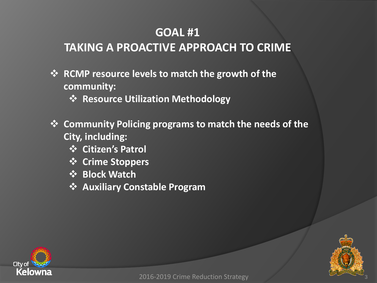### **TAKING A PROACTIVE APPROACH TO CRIME**

- **EXAL RUMP resource levels to match the growth of the community:** 
	- **Resource Utilization Methodology**
- **Community Policing programs to match the needs of the City, including:**
	- **Citizen's Patrol**
	- **Crime Stoppers**
	- **Block Watch**
	- **Auxiliary Constable Program**



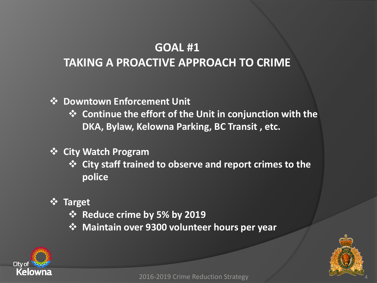### **GOAL #1 TAKING A PROACTIVE APPROACH TO CRIME**

#### **Downtown Enforcement Unit**

 **Continue the effort of the Unit in conjunction with the DKA, Bylaw, Kelowna Parking, BC Transit , etc.**

#### **City Watch Program**

- **City staff trained to observe and report crimes to the police**
- **Target**
	- **Reduce crime by 5% by 2019**
	- **Maintain over 9300 volunteer hours per year**



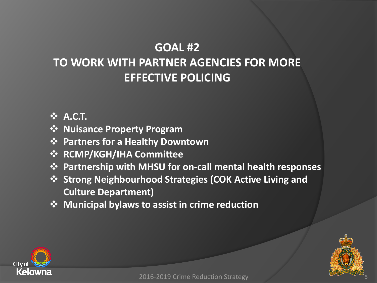### **GOAL #2 TO WORK WITH PARTNER AGENCIES FOR MORE EFFECTIVE POLICING**

#### **A.C.T.**

- **Nuisance Property Program**
- **Partners for a Healthy Downtown**
- **RCMP/KGH/IHA Committee**
- **Partnership with MHSU for on-call mental health responses**
- **Strong Neighbourhood Strategies (COK Active Living and Culture Department)**
- $\dots$  **Municipal bylaws to assist in crime reduction**



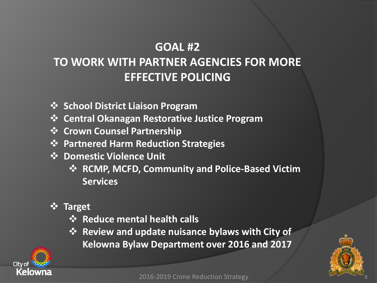## **TO WORK WITH PARTNER AGENCIES FOR MORE EFFECTIVE POLICING**

- **School District Liaison Program**
- **Central Okanagan Restorative Justice Program**
- **❖ Crown Counsel Partnership**
- **Partnered Harm Reduction Strategies**
- **❖ Domestic Violence Unit** 
	- **RCMP, MCFD, Community and Police-Based Victim Services**
- **Target**
	- **\*** Reduce mental health calls
	- **Example 3 Figure 3 Figure 3 Figure 3 Figure 3 Figure 3 Figure 3 Figure 3 Figure 3 Figure 3 Figure 3 Figure 3 Figure 3 Figure 3 Figure 3 Figure 3 Figure 3 Figure 3 Figure 3 Figure 3 Figure 3 Figure 3 Figure 3 Figure 3 Fig Kelowna Bylaw Department over 2016 and 2017**



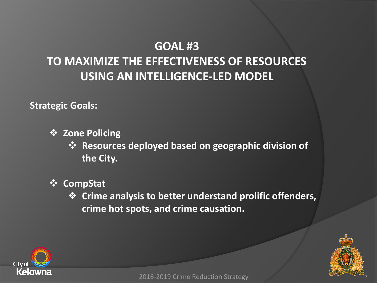## **TO MAXIMIZE THE EFFECTIVENESS OF RESOURCES USING AN INTELLIGENCE-LED MODEL**

**Strategic Goals:**

**☆ Zone Policing** 

 **Resources deployed based on geographic division of the City.**

- **CompStat**
	- **Crime analysis to better understand prolific offenders, crime hot spots, and crime causation.**



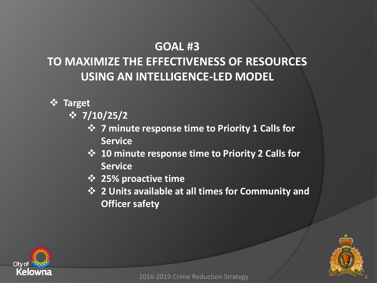## **TO MAXIMIZE THE EFFECTIVENESS OF RESOURCES USING AN INTELLIGENCE-LED MODEL**

- **Target** 
	- **7/10/25/2**
		- **7 minute response time to Priority 1 Calls for Service**
		- **10 minute response time to Priority 2 Calls for Service**
		- **25% proactive time**
		- **2 Units available at all times for Community and Officer safety**



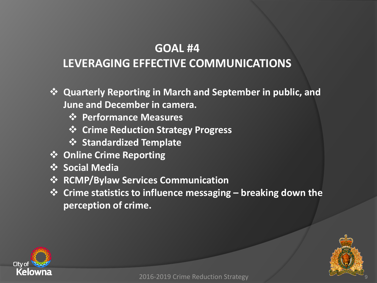### **LEVERAGING EFFECTIVE COMMUNICATIONS**

- **Quarterly Reporting in March and September in public, and June and December in camera.**
	- **Performance Measures**
	- **Crime Reduction Strategy Progress**
	- **Standardized Template**
- **Online Crime Reporting**
- *<b>❖* Social Media
- **RCMP/Bylaw Services Communication**
- **Crime statistics to influence messaging – breaking down the perception of crime.**



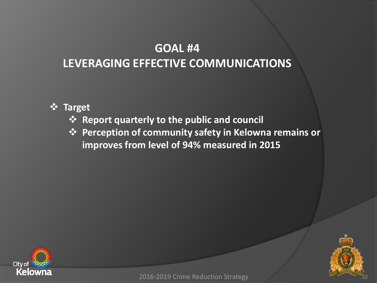### **LEVERAGING EFFECTIVE COMMUNICATIONS**

#### **Target**

- **Report quarterly to the public and council**
- **Perception of community safety in Kelowna remains or improves from level of 94% measured in 2015**





2016-2019 Crime Reduction Strategy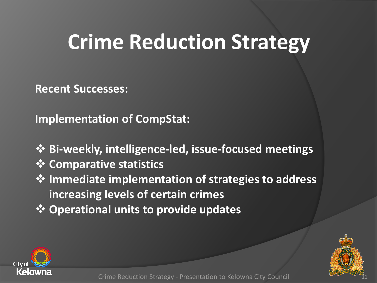**Recent Successes:**

**Implementation of CompStat:**

- **Bi-weekly, intelligence-led, issue-focused meetings**
- **<sup>❖</sup> Comparative statistics**
- **Immediate implementation of strategies to address increasing levels of certain crimes**
- **Operational units to provide updates**



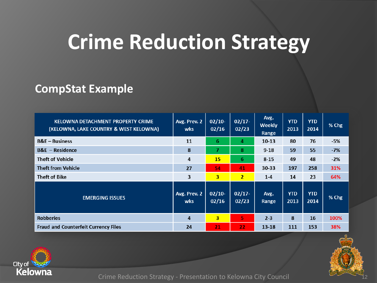#### **CompStat Example**

| <b>KELOWNA DETACHMENT PROPERTY CRIME</b><br>(KELOWNA, LAKE COUNTRY & WEST KELOWNA) | Avg. Prev. 2<br>wks | $02/10-$<br>02/16       | $02/17 -$<br>02/23 | Avg.<br>Weekly<br>Range | <b>YTD</b><br>2013 | <b>YTD</b><br>2014 | % Chg |
|------------------------------------------------------------------------------------|---------------------|-------------------------|--------------------|-------------------------|--------------------|--------------------|-------|
| $B&E - Business$                                                                   | 11                  | 6                       | 4                  | 10 13                   | 80                 | 76                 | $-5%$ |
| $B\&E - Residence$                                                                 | 8                   | 7                       | 8                  | $9 - 18$                | 59                 | 55                 | $-7%$ |
| <b>Theft of Vehicle</b>                                                            | 4                   | 15                      | 6                  | $8 - 15$                | 49                 | 48                 | $-2%$ |
| <b>Theft from Vehicle</b>                                                          | 27                  | 54                      | 41                 | $30 - 33$               | 197                | 258                | 31%   |
| <b>Theft of Bike</b>                                                               | 3                   | 3                       | $\overline{2}$     | $1-4$                   | 14                 | 23                 | 64%   |
| <b>EMERGING ISSUES</b>                                                             | Avg. Prev. 2<br>wks | $02/10-$<br>02/16       | $02/17 -$<br>02/23 | Avg.<br>Range           | <b>YTD</b><br>2013 | <b>YTD</b><br>2014 | % Chg |
| <b>Robberies</b>                                                                   | $\overline{a}$      | $\overline{\mathbf{3}}$ | 5                  | $2 - 3$                 | 8                  | 16                 | 100%  |
| <b>Fraud and Counterfeit Currency Files</b>                                        | 24                  | 21                      | 22                 | $13 - 18$               | 111                | 153                | 38%   |



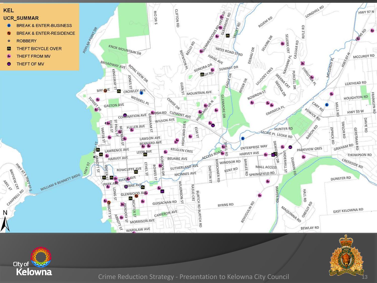



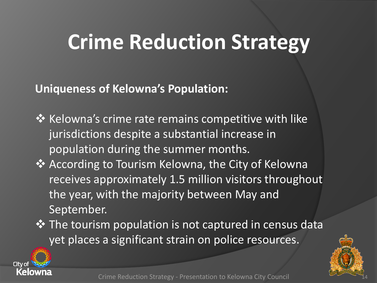**Uniqueness of Kelowna's Population:**

- $\cdot$  Kelowna's crime rate remains competitive with like jurisdictions despite a substantial increase in population during the summer months.
- ◆ According to Tourism Kelowna, the City of Kelowna receives approximately 1.5 million visitors throughout the year, with the majority between May and September.
- $\triangle$  The tourism population is not captured in census data yet places a significant strain on police resources.



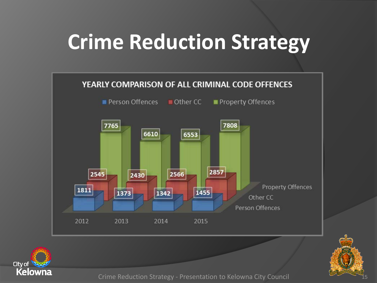



Crime Reduction Strategy - Presentation to Kelowna City Council

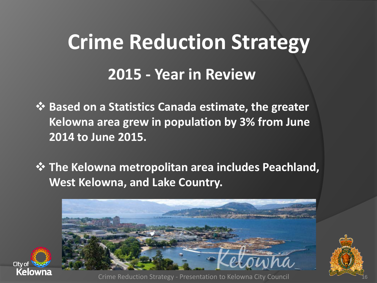$\dots$  **Based on a Statistics Canada estimate, the greater Kelowna area grew in population by 3% from June 2014 to June 2015.**

 **The Kelowna metropolitan area includes Peachland, West Kelowna, and Lake Country.**





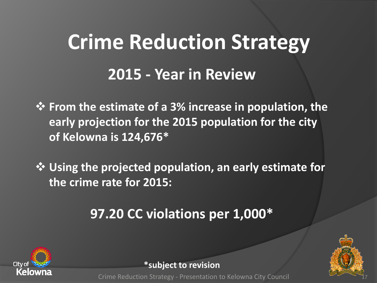**From the estimate of a 3% increase in population, the early projection for the 2015 population for the city of Kelowna is 124,676\***

 **Using the projected population, an early estimate for the crime rate for 2015:**

## **97.20 CC violations per 1,000\***





**\*subject to revision**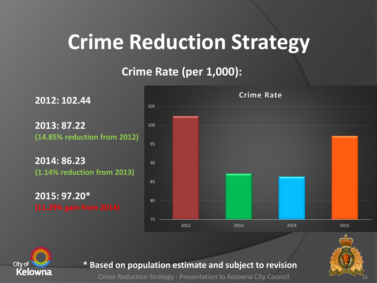### **Crime Rate (per 1,000):**

**2012: 102.44 2013: 87.22 (14.85% reduction from 2012) 2014: 86.23 (1.14% reduction from 2013) 2015: 97.20\***  75 80 85 90 95 100 105 2012 2013 2014 2015 **Crime Rate**





#### **\* Based on population estimate and subject to revision**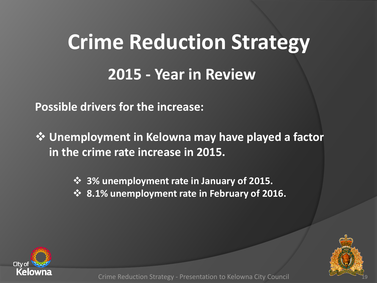**Possible drivers for the increase:**

 **Unemployment in Kelowna may have played a factor in the crime rate increase in 2015.** 

**3% unemployment rate in January of 2015.**

**8.1% unemployment rate in February of 2016.**



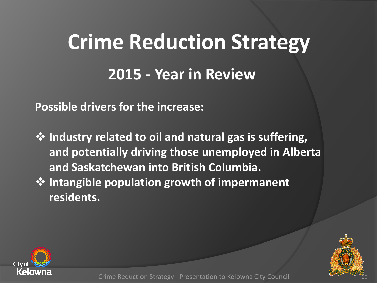**Possible drivers for the increase:**

 **Industry related to oil and natural gas is suffering, and potentially driving those unemployed in Alberta and Saskatchewan into British Columbia. Intangible population growth of impermanent residents.**



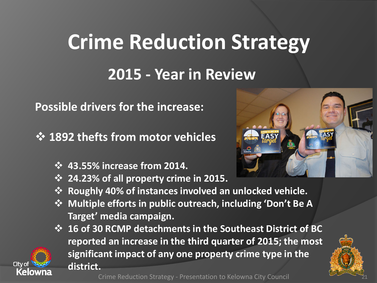**Possible drivers for the increase:**

**1892 thefts from motor vehicles** 

- **43.55% increase from 2014.**
- **24.23% of all property crime in 2015.**
- **Roughly 40% of instances involved an unlocked vehicle.**
- **Multiple efforts in public outreach, including 'Don't Be A Target' media campaign.**
- **16 of 30 RCMP detachments in the Southeast District of BC reported an increase in the third quarter of 2015; the most significant impact of any one property crime type in the district.**



21

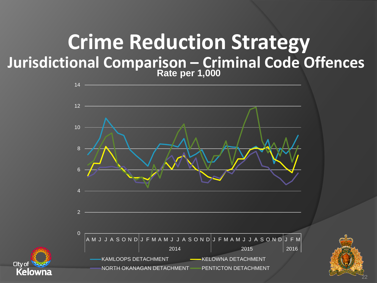## **Jurisdictional Comparison – Criminal Code Offences Crime Reduction Strategy Rate per 1,000**